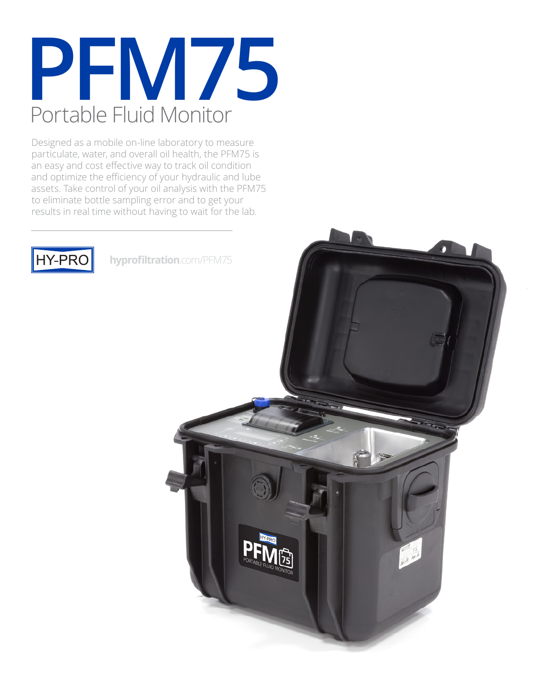

Designed as a mobile on-line laboratory to measure particulate, water, and overall oil health, the PFM75 is an easy and cost effective way to track oil condition and optimize the efficiency of your hydraulic and lube assets. Take control of your oil analysis with the PFM75 to eliminate bottle sampling error and to get your results in real time without having to wait for the lab.



**hyprofiltration**.com/PFM75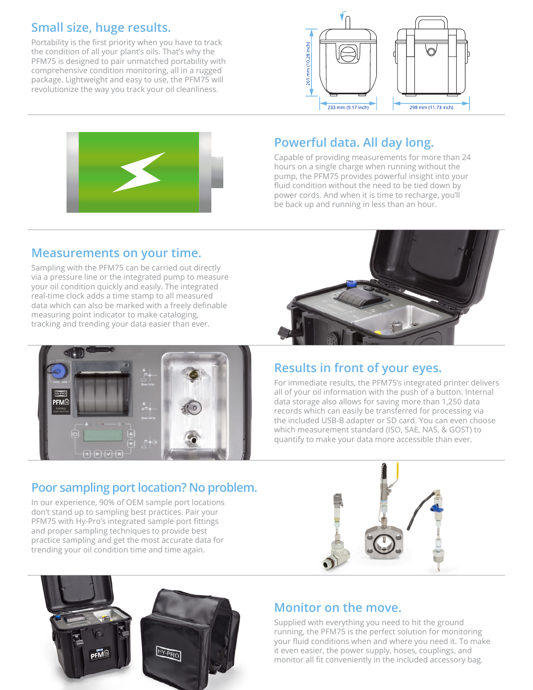### **Small size, huge results.**

Portability is the first priority when you have to track the condition of all your plant's oils. That's why the PFM75 is designed to pair unmatched portability with comprehensive condition monitoring, all in a rugged package. Lightweight and easy to use, the PFM75 will revolutionize the way you track your oil cleanliness.





## **Powerful data. All day long.**

Capable of providing measurements for more than 24 hours on a single charge when running without the pump, the PFM75 provides powerful insight into your fluid condition without the need to be tied down by power cords. And when it is time to recharge, you'll be back up and running in less than an hour.

#### **Measurements on your time.**

Sampling with the PFM75 can be carried out directly via a pressure line or the integrated pump to measure your oil condition quickly and easily. The integrated real-time clock adds a time stamp to all measured data which can also be marked with a freely definable measuring point indicator to make cataloging, tracking and trending your data easier than ever.



### **Results in front of your eyes.**

For immediate results, the PFM75's integrated printer delivers all of your oil information with the push of a button. Internal data storage also allows for saving more than 1,250 data records which can easily be transferred for processing via the included USB-B adapter or SD card. You can even choose which measurement standard (ISO, SAE, NAS, & GOST) to quantify to make your data more accessible than ever.

### **Poor sampling port location? No problem.**

In our experience, 90% of OEM sample port locations don't stand up to sampling best practices. Pair your PFM75 with Hy-Pro's integrated sample port fittings and proper sampling techniques to provide best practice sampling and get the most accurate data for trending your oil condition time and time again.





#### **Monitor on the move.**

Supplied with everything you need to hit the ground running, the PFM75 is the perfect solution for monitoring your fluid conditions when and where you need it. To make it even easier, the power supply, hoses, couplings, and monitor all fit conveniently in the included accessory bag.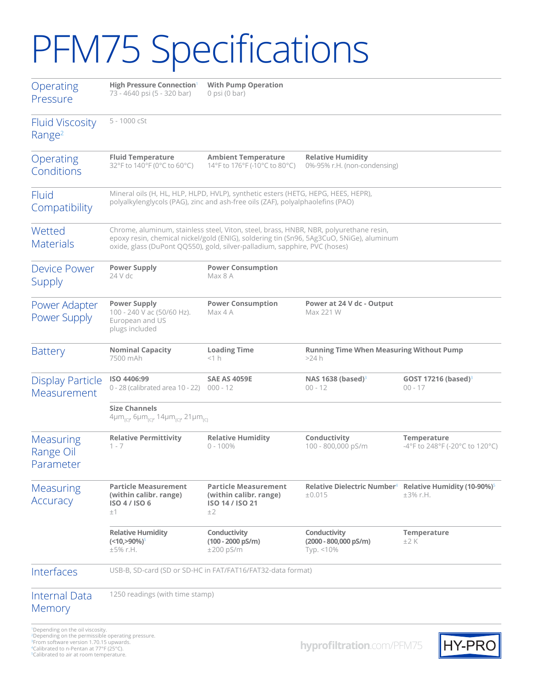# PFM75 Specifications

| Operating<br>Pressure                        | <b>High Pressure Connection'</b><br>73 - 4640 psi (5 - 320 bar)                                                                                                                                                                                                  | <b>With Pump Operation</b><br>$0$ psi $(0$ bar)                                |                                                              |                                                                                             |  |
|----------------------------------------------|------------------------------------------------------------------------------------------------------------------------------------------------------------------------------------------------------------------------------------------------------------------|--------------------------------------------------------------------------------|--------------------------------------------------------------|---------------------------------------------------------------------------------------------|--|
| <b>Fluid Viscosity</b><br>Range <sup>2</sup> | 5 - 1000 cSt                                                                                                                                                                                                                                                     |                                                                                |                                                              |                                                                                             |  |
| Operating<br>Conditions                      | <b>Fluid Temperature</b><br>32°F to 140°F (0°C to 60°C)                                                                                                                                                                                                          | <b>Ambient Temperature</b><br>14°F to 176°F (-10°C to 80°C)                    | <b>Relative Humidity</b><br>0%-95% r.H. (non-condensing)     |                                                                                             |  |
| <b>Fluid</b><br>Compatibility                | Mineral oils (H, HL, HLP, HLPD, HVLP), synthetic esters (HETG, HEPG, HEES, HEPR),<br>polyalkylenglycols (PAG), zinc and ash-free oils (ZAF), polyalphaolefins (PAO)                                                                                              |                                                                                |                                                              |                                                                                             |  |
| Wetted<br><b>Materials</b>                   | Chrome, aluminum, stainless steel, Viton, steel, brass, HNBR, NBR, polyurethane resin,<br>epoxy resin, chemical nickel/gold (ENIG), soldering tin (Sn96, 5Ag3CuO, 5NiGe), aluminum<br>oxide, glass (DuPont QQ550), gold, silver-palladium, sapphire, PVC (hoses) |                                                                                |                                                              |                                                                                             |  |
| <b>Device Power</b><br>Supply                | <b>Power Supply</b><br>$24$ V dc                                                                                                                                                                                                                                 | <b>Power Consumption</b><br>Max 8 A                                            |                                                              |                                                                                             |  |
| Power Adapter<br>Power Supply                | <b>Power Supply</b><br>100 - 240 V ac (50/60 Hz).<br>European and US<br>plugs included                                                                                                                                                                           | <b>Power Consumption</b><br>Max 4 A                                            | Power at 24 V dc - Output<br>Max 221 W                       |                                                                                             |  |
| <b>Battery</b>                               | <b>Loading Time</b><br><b>Running Time When Measuring Without Pump</b><br><b>Nominal Capacity</b><br>7500 mAh<br><1 h<br>>24 h                                                                                                                                   |                                                                                |                                                              |                                                                                             |  |
| <b>Display Particle</b><br>Measurement       | ISO 4406:99<br>0 - 28 (calibrated area 10 - 22) 000 - 12                                                                                                                                                                                                         | <b>SAE AS 4059E</b>                                                            | NAS 1638 (based) $3$<br>$00 - 12$                            | GOST 17216 (based) $3$<br>$00 - 17$                                                         |  |
|                                              | <b>Size Channels</b><br>4μm <sub>rcl</sub> , 6μm <sub>rcl</sub> , 14μm <sub>rcl</sub> , 21μm <sub>rcl</sub>                                                                                                                                                      |                                                                                |                                                              |                                                                                             |  |
| Measuring<br>Range Oil<br>Parameter          | <b>Relative Permittivity</b><br>$1 - 7$                                                                                                                                                                                                                          | <b>Relative Humidity</b><br>$0 - 100%$                                         | Conductivity<br>100 - 800,000 pS/m                           | Temperature<br>$-4^{\circ}$ F to 248 $^{\circ}$ F (-20 $^{\circ}$ C to 120 $^{\circ}$ C)    |  |
| Measuring<br>Accuracy                        | <b>Particle Measurement</b><br>(within calibr. range)<br>ISO 4 / ISO 6<br>$\pm 1$                                                                                                                                                                                | <b>Particle Measurement</b><br>(within calibr. range)<br>ISO 14 / ISO 21<br>±2 | ±0.015                                                       | Relative Dielectric Number <sup>4</sup> Relative Humidity (10-90%) <sup>5</sup><br>±3% r.H. |  |
|                                              | <b>Relative Humidity</b><br>$(<10, >90\%)^5$<br>$±5%$ r.H.                                                                                                                                                                                                       | Conductivity<br>$(100 - 2000 \text{ pS/m})$<br>$±200$ pS/m                     | Conductivity<br>$(2000 - 800,000 \text{ pS/m})$<br>Typ. <10% | Temperature<br>±2K                                                                          |  |
| Interfaces                                   | USB-B, SD-card (SD or SD-HC in FAT/FAT16/FAT32-data format)                                                                                                                                                                                                      |                                                                                |                                                              |                                                                                             |  |
| Internal Data<br>Memory                      | 1250 readings (with time stamp)                                                                                                                                                                                                                                  |                                                                                |                                                              |                                                                                             |  |

1Depending on the oil viscosity. 2Depending on the permissible operating pressure. <sup>3</sup>From software version 1.70.15 upwards. 4Calibrated to n-Pentan at 77°F (25°C). <sup>5</sup>Calibrated to air at room temperature.